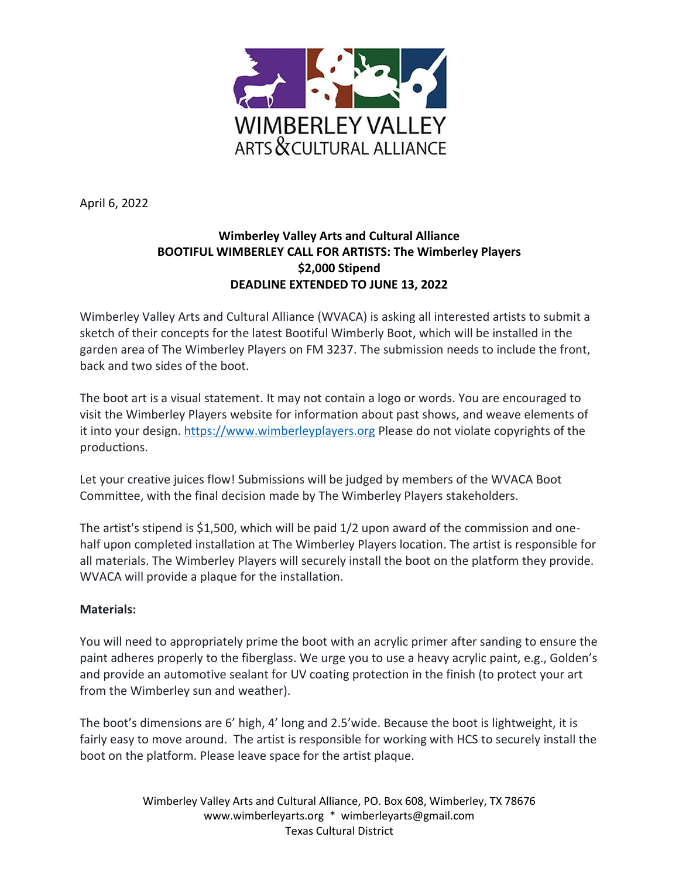

April 6, 2022

## **Wimberley Valley Arts and Cultural Alliance BOOTIFUL WIMBERLEY CALL FOR ARTISTS: The Wimberley Players \$2,000 Stipend DEADLINE EXTENDED TO JUNE 13, 2022**

Wimberley Valley Arts and Cultural Alliance (WVACA) is asking all interested artists to submit a sketch of their concepts for the latest Bootiful Wimberly Boot, which will be installed in the garden area of The Wimberley Players on FM 3237. The submission needs to include the front, back and two sides of the boot.

The boot art is a visual statement. It may not contain a logo or words. You are encouraged to visit the Wimberley Players website for information about past shows, and weave elements of it into your design. [https://www.wimberleyplayers.org](https://www.wimberleyplayers.org/) Please do not violate copyrights of the productions.

Let your creative juices flow! Submissions will be judged by members of the WVACA Boot Committee, with the final decision made by The Wimberley Players stakeholders.

The artist's stipend is \$1,500, which will be paid 1/2 upon award of the commission and onehalf upon completed installation at The Wimberley Players location. The artist is responsible for all materials. The Wimberley Players will securely install the boot on the platform they provide. WVACA will provide a plaque for the installation.

## **Materials:**

You will need to appropriately prime the boot with an acrylic primer after sanding to ensure the paint adheres properly to the fiberglass. We urge you to use a heavy acrylic paint, e.g., Golden's and provide an automotive sealant for UV coating protection in the finish (to protect your art from the Wimberley sun and weather).

The boot's dimensions are 6' high, 4' long and 2.5'wide. Because the boot is lightweight, it is fairly easy to move around. The artist is responsible for working with HCS to securely install the boot on the platform. Please leave space for the artist plaque.

> Wimberley Valley Arts and Cultural Alliance, PO. Box 608, Wimberley, TX 78676 [www.wimberleyarts.org](http://www.wimberleyarts.org/) \* [wimberleyarts@gmail.com](mailto:wimberleyarts@gmail.com) Texas Cultural District